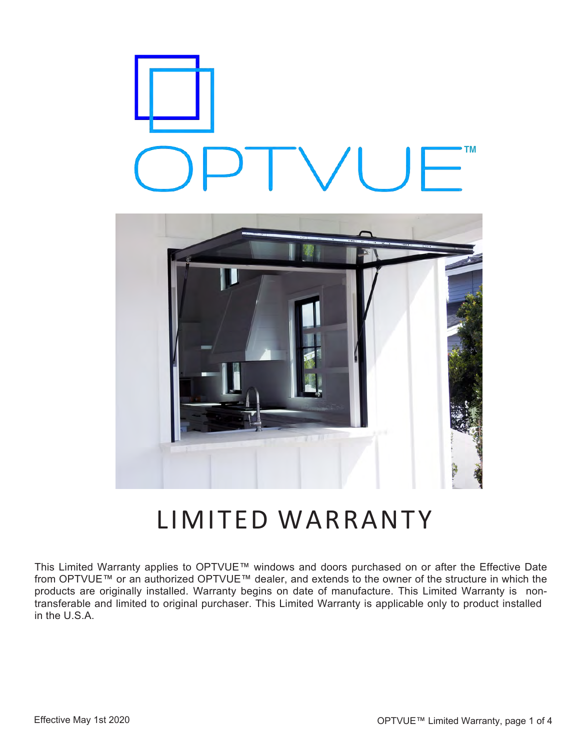



# LIMITED WARRANTY

This Limited Warranty applies to OPTVUE™ windows and doors purchased on or after the Effective Date from OPTVUE™ or an authorized OPTVUE™ dealer, and extends to the owner of the structure in which the products are originally installed. Warranty begins on date of manufacture. This Limited Warranty is nontransferable and limited to original purchaser. This Limited Warranty is applicable only to product installed in the U.S.A.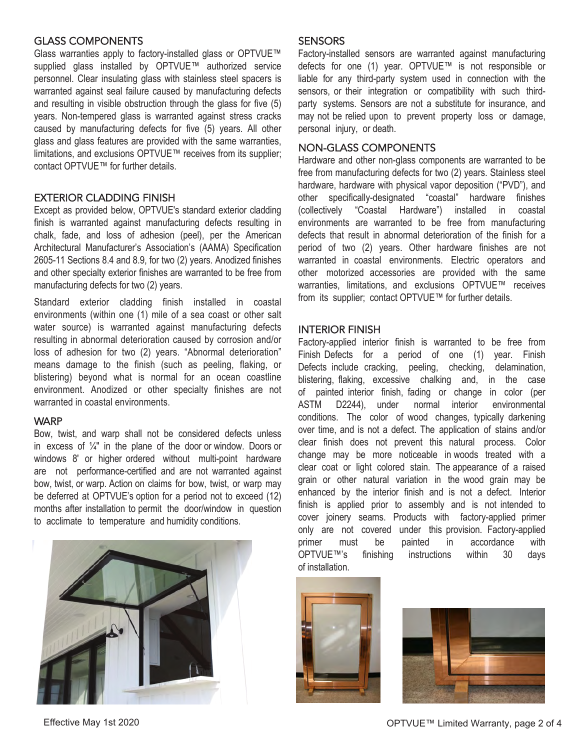# GLASS COMPONENTS

Glass warranties apply to factory-installed glass or OPTVUE™ supplied glass installed by OPTVUE™ authorized service personnel. Clear insulating glass with stainless steel spacers is warranted against seal failure caused by manufacturing defects and resulting in visible obstruction through the glass for five (5) years. Non-tempered glass is warranted against stress cracks caused by manufacturing defects for five (5) years. All other glass and glass features are provided with the same warranties, limitations, and exclusions OPTVUE™ receives from its supplier; contact OPTVUE™ for further details.

# EXTERIOR CLADDING FINISH

Except as provided below, OPTVUE's standard exterior cladding finish is warranted against manufacturing defects resulting in chalk, fade, and loss of adhesion (peel), per the American Architectural Manufacturer's Association's (AAMA) Specification 2605-11 Sections 8.4 and 8.9, for two (2) years. Anodized finishes and other specialty exterior finishes are warranted to be free from manufacturing defects for two (2) years.

Standard exterior cladding finish installed in coastal environments (within one (1) mile of a sea coast or other salt water source) is warranted against manufacturing defects resulting in abnormal deterioration caused by corrosion and/or loss of adhesion for two (2) years. "Abnormal deterioration" means damage to the finish (such as peeling, flaking, or blistering) beyond what is normal for an ocean coastline environment. Anodized or other specialty finishes are not warranted in coastal environments.

#### **WARP**

Bow, twist, and warp shall not be considered defects unless in excess of  $\frac{1}{4}$ " in the plane of the door or window. Doors or windows 8' or higher ordered without multi-point hardware are not performance-certified and are not warranted against bow, twist, or warp. Action on claims for bow, twist, or warp may be deferred at OPTVUE's option for a period not to exceed (12) months after installation to permit the door/window in question to acclimate to temperature and humidity conditions.



Factory-installed sensors are warranted against manufacturing defects for one (1) year. OPTVUE™ is not responsible or liable for any third-party system used in connection with the sensors, or their integration or compatibility with such thirdparty systems. Sensors are not a substitute for insurance, and may not be relied upon to prevent property loss or damage, personal injury, or death.

#### NON-GLASS COMPONENTS

Hardware and other non-glass components are warranted to be free from manufacturing defects for two (2) years. Stainless steel hardware, hardware with physical vapor deposition ("PVD"), and other specifically-designated "coastal" hardware finishes (collectively "Coastal Hardware") installed in coastal environments are warranted to be free from manufacturing defects that result in abnormal deterioration of the finish for a period of two (2) years. Other hardware finishes are not warranted in coastal environments. Electric operators and other motorized accessories are provided with the same warranties, limitations, and exclusions OPTVUE™ receives from its supplier; contact OPTVUE™ for further details.

### INTERIOR FINISH

Factory-applied interior finish is warranted to be free from Finish Defects for a period of one (1) year. Finish Defects include cracking, peeling, checking, delamination, blistering, flaking, excessive chalking and, in the case of painted interior finish, fading or change in color (per ASTM D2244), under normal interior environmental conditions. The color of wood changes, typically darkening over time, and is not a defect. The application of stains and/or clear finish does not prevent this natural process. Color change may be more noticeable in woods treated with a clear coat or light colored stain. The appearance of a raised grain or other natural variation in the wood grain may be enhanced by the interior finish and is not a defect. Interior finish is applied prior to assembly and is not intended to cover joinery seams. Products with factory-applied primer only are not covered under this provision. Factory-applied primer must be painted in accordance with OPTVUE™'s finishing instructions within 30 days of installation.



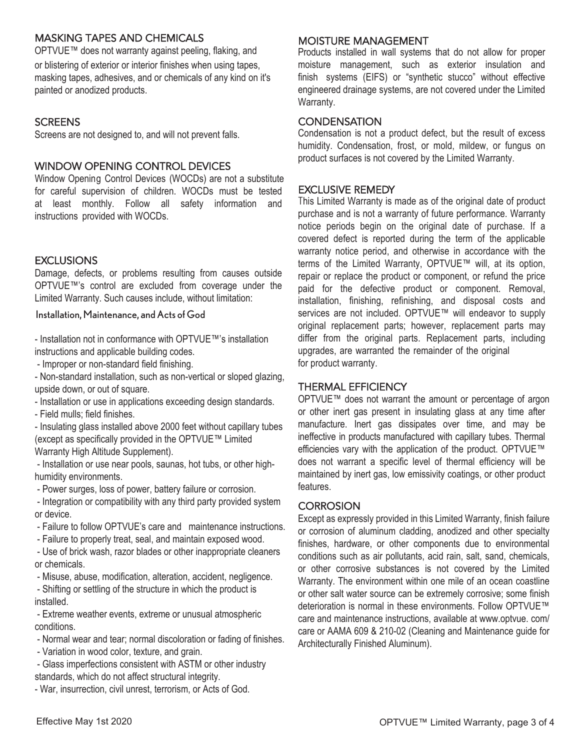# MASKING TAPES AND CHEMICALS

OPTVUE™ does not warranty against peeling, flaking, and or blistering of exterior or interior finishes when using tapes, masking tapes, adhesives, and or chemicals of any kind on it's painted or anodized products.

# **SCREENS**

Screens are not designed to, and will not prevent falls.

# WINDOW OPENING CONTROL DEVICES

Window Opening Control Devices (WOCDs) are not a substitute for careful supervision of children. WOCDs must be tested at least monthly. Follow all safety information and instructions provided with WOCDs.

### **EXCLUSIONS**

Damage, defects, or problems resulting from causes outside OPTVUE™'s control are excluded from coverage under the Limited Warranty. Such causes include, without limitation:

Installation, Maintenance, and Acts of God

- Installation not in conformance with OPTVUE™'s installation instructions and applicable building codes.

- Improper or non-standard field finishing.

- Non-standard installation, such as non-vertical or sloped glazing, upside down, or out of square.

- Installation or use in applications exceeding design standards.

- Field mulls; field finishes.

- Insulating glass installed above 2000 feet without capillary tubes (except as specifically provided in the OPTVUE™ Limited Warranty High Altitude Supplement).

- Installation or use near pools, saunas, hot tubs, or other highhumidity environments.

- Power surges, loss of power, battery failure or corrosion.

- Integration or compatibility with any third party provided system or device.

- Failure to follow OPTVUE's care and maintenance instructions.
- Failure to properly treat, seal, and maintain exposed wood.

- Use of brick wash, razor blades or other inappropriate cleaners or chemicals.

- Misuse, abuse, modification, alteration, accident, negligence.

- Shifting or settling of the structure in which the product is installed.

- Extreme weather events, extreme or unusual atmospheric conditions.

- Normal wear and tear; normal discoloration or fading of finishes.
- Variation in wood color, texture, and grain.

- Glass imperfections consistent with ASTM or other industry standards, which do not affect structural integrity.

- War, insurrection, civil unrest, terrorism, or Acts of God.

#### MOISTURE MANAGEMENT

Products installed in wall systems that do not allow for proper moisture management, such as exterior insulation and finish systems (EIFS) or "synthetic stucco" without effective engineered drainage systems, are not covered under the Limited Warranty.

# **CONDENSATION**

Condensation is not a product defect, but the result of excess humidity. Condensation, frost, or mold, mildew, or fungus on product surfaces is not covered by the Limited Warranty.

# EXCLUSIVE REMEDY

This Limited Warranty is made as of the original date of product purchase and is not a warranty of future performance. Warranty notice periods begin on the original date of purchase. If a covered defect is reported during the term of the applicable warranty notice period, and otherwise in accordance with the terms of the Limited Warranty, OPTVUE™ will, at its option, repair or replace the product or component, or refund the price paid for the defective product or component. Removal, installation, finishing, refinishing, and disposal costs and services are not included. OPTVUE™ will endeavor to supply original replacement parts; however, replacement parts may differ from the original parts. Replacement parts, including upgrades, are warranted the remainder of the original for product warranty.

# THERMAL EFFICIENCY

OPTVUE™ does not warrant the amount or percentage of argon or other inert gas present in insulating glass at any time after manufacture. Inert gas dissipates over time, and may be ineffective in products manufactured with capillary tubes. Thermal efficiencies vary with the application of the product. OPTVUE™ does not warrant a specific level of thermal efficiency will be maintained by inert gas, low emissivity coatings, or other product features.

# **CORROSION**

Except as expressly provided in this Limited Warranty, finish failure or corrosion of aluminum cladding, anodized and other specialty finishes, hardware, or other components due to environmental conditions such as air pollutants, acid rain, salt, sand, chemicals, or other corrosive substances is not covered by the Limited Warranty. The environment within one mile of an ocean coastline or other salt water source can be extremely corrosive; some finish deterioration is normal in these environments. Follow OPTVUE™ care and maintenance instructions, available at www.optvue. com/ care or AAMA 609 & 210-02 (Cleaning and Maintenance guide for Architecturally Finished Aluminum).